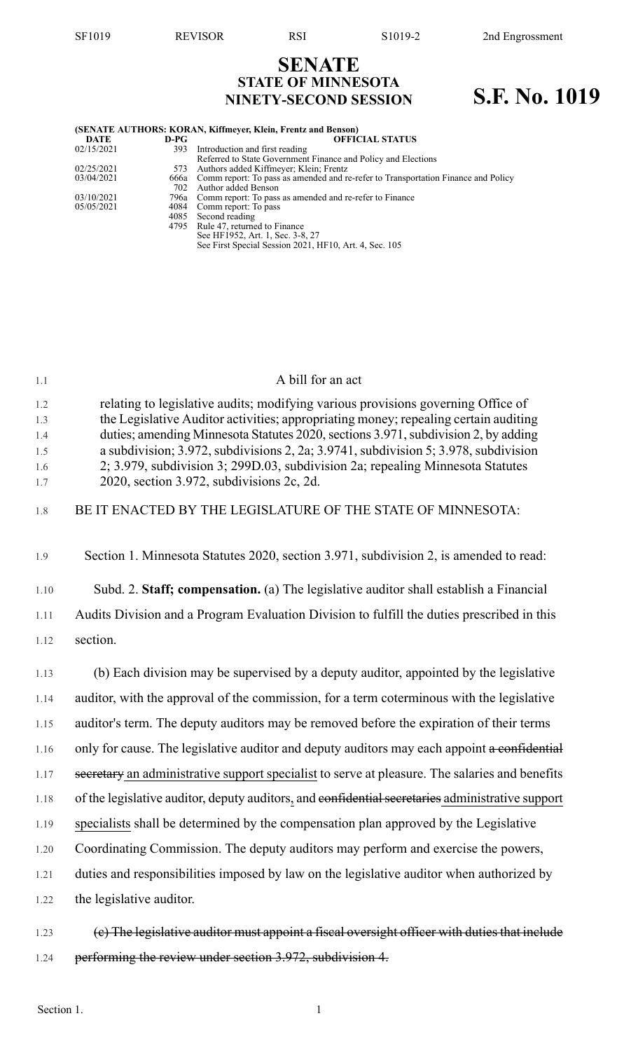# **SENATE STATE OF MINNESOTA NINETY-SECOND SESSION S.F. No. 1019**

| (SENATE AUTHORS: KORAN, Kiffmeyer, Klein, Frentz and Benson) |      |                                                                                        |  |  |
|--------------------------------------------------------------|------|----------------------------------------------------------------------------------------|--|--|
| <b>DATE</b>                                                  | D-PG | <b>OFFICIAL STATUS</b>                                                                 |  |  |
| 02/15/2021                                                   | 393  | Introduction and first reading                                                         |  |  |
|                                                              |      | Referred to State Government Finance and Policy and Elections                          |  |  |
| 02/25/2021                                                   |      | 573 Authors added Kiffmeyer; Klein; Frentz                                             |  |  |
| 03/04/2021                                                   |      | 666a Comm report: To pass as amended and re-refer to Transportation Finance and Policy |  |  |
|                                                              |      | 702 Author added Benson                                                                |  |  |
| 03/10/2021                                                   |      | 796a Comm report: To pass as amended and re-refer to Finance                           |  |  |
| 05/05/2021                                                   |      | 4084 Comm report: To pass                                                              |  |  |
|                                                              |      | 4085 Second reading                                                                    |  |  |
|                                                              |      | 4795 Rule 47, returned to Finance                                                      |  |  |
|                                                              |      | See HF1952, Art. 1, Sec. 3-8, 27                                                       |  |  |
|                                                              |      | See First Special Session 2021, HF10, Art. 4, Sec. 105                                 |  |  |

| 1.1               | A bill for an act                                                                                                                                                                                                                                             |
|-------------------|---------------------------------------------------------------------------------------------------------------------------------------------------------------------------------------------------------------------------------------------------------------|
| 1.2<br>1.3<br>1.4 | relating to legislative audits; modifying various provisions governing Office of<br>the Legislative Auditor activities; appropriating money; repealing certain auditing<br>duties; amending Minnesota Statutes 2020, sections 3.971, subdivision 2, by adding |
| 1.5<br>1.6<br>1.7 | a subdivision; 3.972, subdivisions 2, 2a; 3.9741, subdivision 5; 3.978, subdivision<br>2; 3.979, subdivision 3; 299D.03, subdivision 2a; repealing Minnesota Statutes<br>2020, section 3.972, subdivisions 2c, 2d.                                            |
| 1.8               | BE IT ENACTED BY THE LEGISLATURE OF THE STATE OF MINNESOTA:                                                                                                                                                                                                   |
| 1.9               | Section 1. Minnesota Statutes 2020, section 3.971, subdivision 2, is amended to read:                                                                                                                                                                         |
| 1.10              | Subd. 2. Staff; compensation. (a) The legislative auditor shall establish a Financial                                                                                                                                                                         |
| 1.11              | Audits Division and a Program Evaluation Division to fulfill the duties prescribed in this                                                                                                                                                                    |
| 1.12              | section.                                                                                                                                                                                                                                                      |
| 1.13              | (b) Each division may be supervised by a deputy auditor, appointed by the legislative                                                                                                                                                                         |
| 1.14              | auditor, with the approval of the commission, for a term coterminous with the legislative                                                                                                                                                                     |
| 1.15              | auditor's term. The deputy auditors may be removed before the expiration of their terms                                                                                                                                                                       |
| 1.16              | only for cause. The legislative auditor and deputy auditors may each appoint a confidential                                                                                                                                                                   |
| 1.17              | secretary an administrative support specialist to serve at pleasure. The salaries and benefits                                                                                                                                                                |
| 1.18              | of the legislative auditor, deputy auditors, and confidential secretaries administrative support                                                                                                                                                              |
| 1.19              | specialists shall be determined by the compensation plan approved by the Legislative                                                                                                                                                                          |
| 1.20              | Coordinating Commission. The deputy auditors may perform and exercise the powers,                                                                                                                                                                             |
| 1.21              | duties and responsibilities imposed by law on the legislative auditor when authorized by                                                                                                                                                                      |
| 1.22              | the legislative auditor.                                                                                                                                                                                                                                      |
| 1.23              | (e) The legislative auditor must appoint a fiscal oversight officer with duties that include                                                                                                                                                                  |

1.24 performing the review under section 3.972, subdivision 4.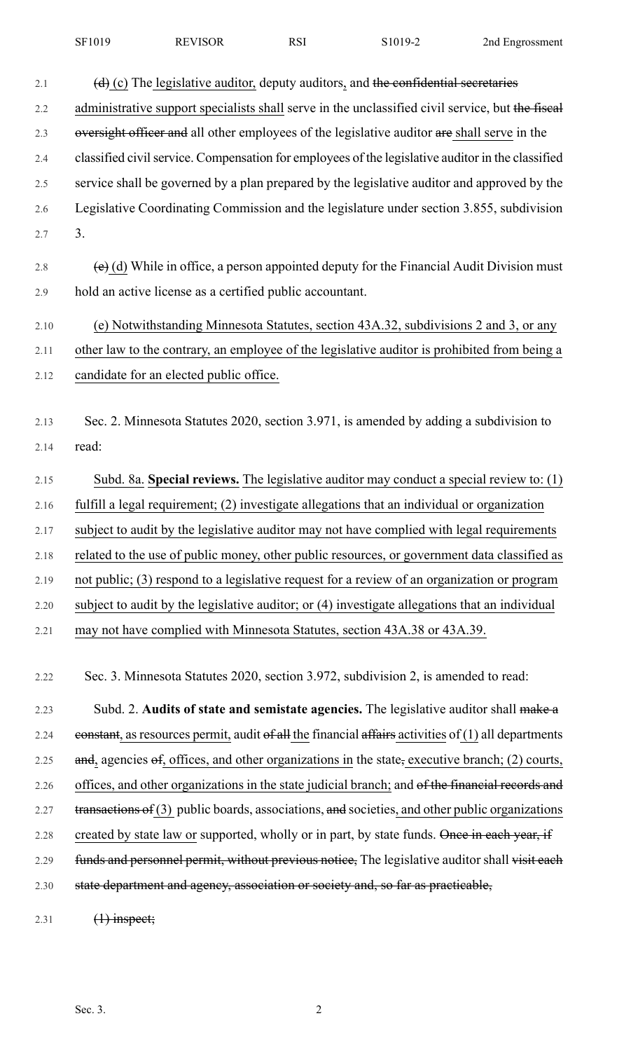| SF1019 | <b>REVISOR</b> | RSI | S1019-2 | 2nd Engrossment |
|--------|----------------|-----|---------|-----------------|
|--------|----------------|-----|---------|-----------------|

| 2.1  | $(d)$ (c) The legislative auditor, deputy auditors, and the confidential secretaries                  |
|------|-------------------------------------------------------------------------------------------------------|
| 2.2  | administrative support specialists shall serve in the unclassified civil service, but the fiscal      |
| 2.3  | oversight officer and all other employees of the legislative auditor are shall serve in the           |
| 2.4  | classified civil service. Compensation for employees of the legislative auditor in the classified     |
| 2.5  | service shall be governed by a plan prepared by the legislative auditor and approved by the           |
| 2.6  | Legislative Coordinating Commission and the legislature under section 3.855, subdivision              |
| 2.7  | 3.                                                                                                    |
| 2.8  | $\overline{(e)}$ (d) While in office, a person appointed deputy for the Financial Audit Division must |
| 2.9  | hold an active license as a certified public accountant.                                              |
| 2.10 | (e) Notwithstanding Minnesota Statutes, section 43A.32, subdivisions 2 and 3, or any                  |
| 2.11 | other law to the contrary, an employee of the legislative auditor is prohibited from being a          |
| 2.12 | candidate for an elected public office.                                                               |
|      |                                                                                                       |
| 2.13 | Sec. 2. Minnesota Statutes 2020, section 3.971, is amended by adding a subdivision to                 |
| 2.14 | read:                                                                                                 |
| 2.15 | Subd. 8a. Special reviews. The legislative auditor may conduct a special review to: (1)               |
| 2.16 | fulfill a legal requirement; (2) investigate allegations that an individual or organization           |
| 2.17 | subject to audit by the legislative auditor may not have complied with legal requirements             |
| 2.18 | related to the use of public money, other public resources, or government data classified as          |
| 2.19 | not public; (3) respond to a legislative request for a review of an organization or program           |
| 2.20 | subject to audit by the legislative auditor; or (4) investigate allegations that an individual        |
| 2.21 | may not have complied with Minnesota Statutes, section 43A.38 or 43A.39.                              |
|      |                                                                                                       |
| 2.22 | Sec. 3. Minnesota Statutes 2020, section 3.972, subdivision 2, is amended to read:                    |
| 2.23 | Subd. 2. Audits of state and semistate agencies. The legislative auditor shall make a                 |
| 2.24 | eonstant, as resources permit, audit of all the financial affairs activities of $(1)$ all departments |
| 2.25 | and, agencies $\Theta$ , offices, and other organizations in the state, executive branch; (2) courts, |
| 2.26 | offices, and other organizations in the state judicial branch; and of the financial records and       |
| 2.27 | transactions of (3) public boards, associations, and societies, and other public organizations        |
| 2.28 | created by state law or supported, wholly or in part, by state funds. Once in each year, if           |

2.29 funds and personnel permit, without previous notice, The legislative auditor shall visit each 2.30 state department and agency, association or society and, so far as practicable,

2.31  $(1)$  inspect;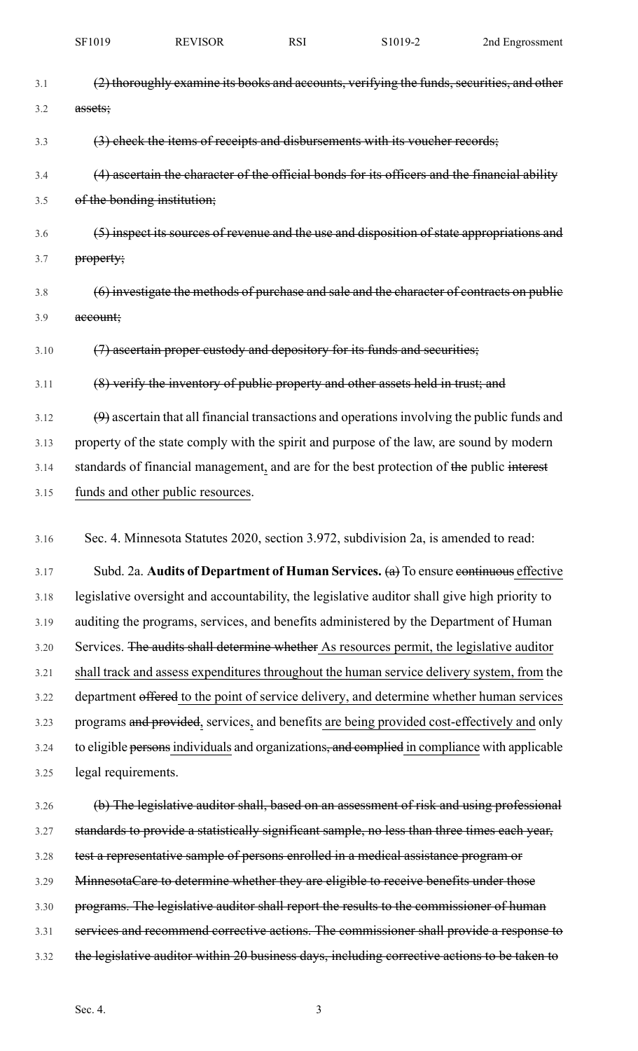| SF1019 | <b>REVISOR</b> | RSI | S1019-2 | 2nd Engrossment |
|--------|----------------|-----|---------|-----------------|
|        |                |     |         |                 |

| 3.1  | (2) thoroughly examine its books and accounts, verifying the funds, securities, and other     |
|------|-----------------------------------------------------------------------------------------------|
| 3.2  | assets;                                                                                       |
| 3.3  | (3) check the items of receipts and disbursements with its voucher records;                   |
| 3.4  | (4) ascertain the character of the official bonds for its officers and the financial ability  |
| 3.5  | of the bonding institution;                                                                   |
| 3.6  | (5) inspect its sources of revenue and the use and disposition of state appropriations and    |
| 3.7  | property;                                                                                     |
| 3.8  | (6) investigate the methods of purchase and sale and the character of contracts on public     |
| 3.9  | account;                                                                                      |
| 3.10 | (7) ascertain proper custody and depository for its funds and securities;                     |
| 3.11 | (8) verify the inventory of public property and other assets held in trust; and               |
| 3.12 | $(9)$ ascertain that all financial transactions and operations involving the public funds and |
| 3.13 | property of the state comply with the spirit and purpose of the law, are sound by modern      |
| 3.14 | standards of financial management, and are for the best protection of the public interest     |
| 3.15 | funds and other public resources.                                                             |
| 3.16 | Sec. 4. Minnesota Statutes 2020, section 3.972, subdivision 2a, is amended to read:           |
| 3.17 | Subd. 2a. Audits of Department of Human Services. $(a)$ To ensure continuous effective        |
| 3.18 | legislative oversight and accountability, the legislative auditor shall give high priority to |
| 3.19 | auditing the programs, services, and benefits administered by the Department of Human         |
| 3.20 | Services. The audits shall determine whether As resources permit, the legislative auditor     |
| 3.21 | shall track and assess expenditures throughout the human service delivery system, from the    |
| 3.22 | department offered to the point of service delivery, and determine whether human services     |
| 3.23 | programs and provided, services, and benefits are being provided cost-effectively and only    |
| 3.24 | to eligible persons individuals and organizations, and complied in compliance with applicable |
| 3.25 | legal requirements.                                                                           |
| 3.26 | (b) The legislative auditor shall, based on an assessment of risk and using professional      |
| 3.27 | standards to provide a statistically significant sample, no less than three times each year,  |
| 3.28 | test a representative sample of persons enrolled in a medical assistance program or           |
| 3.29 | MinnesotaCare to determine whether they are eligible to receive benefits under those          |
| 3.30 | programs. The legislative auditor shall report the results to the commissioner of human       |

- 3.31 services and recommend corrective actions. The commissioner shall provide a response to 3.32 the legislative auditor within 20 business days, including corrective actions to be taken to
	-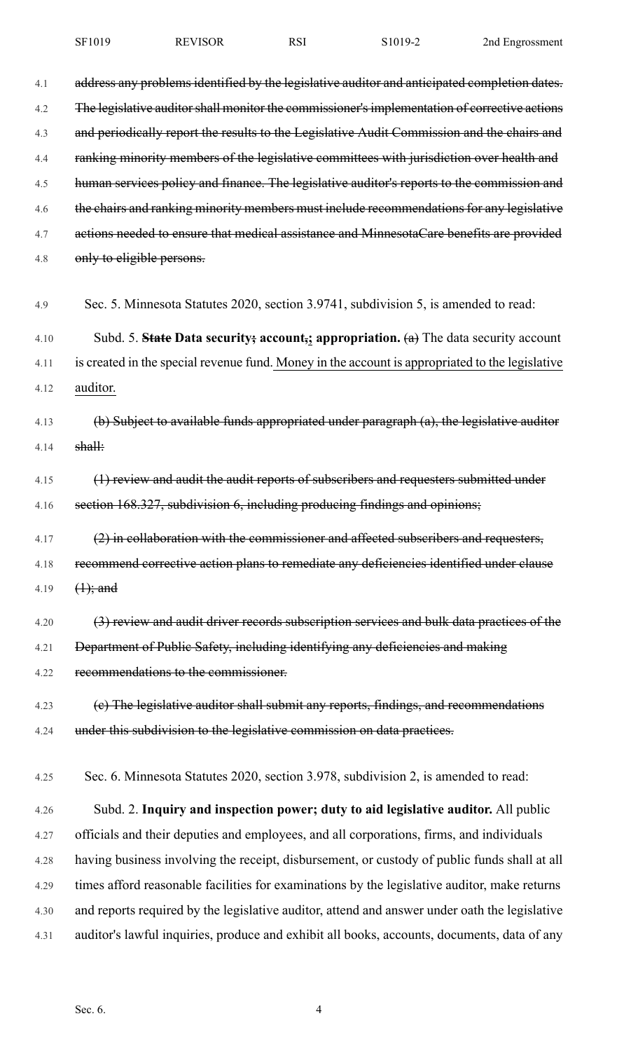4.1 address any problems identified by the legislative auditor and anticipated completion dates. 4.2 The legislative auditor shall monitor the commissioner's implementation of corrective actions 4.3 and periodically report the results to the Legislative Audit Commission and the chairs and 4.4 ranking minority members of the legislative committees with jurisdiction over health and 4.5 human services policy and finance. The legislative auditor's reports to the commission and 4.6 the chairs and ranking minority members must include recommendations for any legislative 4.7 actions needed to ensure that medical assistance and MinnesotaCare benefits are provided 4.8 only to eligible persons. 4.9 Sec. 5. Minnesota Statutes 2020, section 3.9741, subdivision 5, is amended to read: 4.10 Subd. 5. **State Data security; account,; appropriation.** (a) The data security account 4.11 is created in the special revenue fund. Money in the account is appropriated to the legislative 4.12 auditor. 4.13 (b) Subject to available funds appropriated under paragraph (a), the legislative auditor 4.14 shall: 4.15 (1) review and audit the audit reports of subscribers and requesters submitted under 4.16 section 168.327, subdivision 6, including producing findings and opinions; 4.17  $(2)$  in collaboration with the commissioner and affected subscribers and requesters, 4.18 recommend corrective action plans to remediate any deficiencies identified under clause 4.19  $(1);$  and 4.20 (3) review and audit driver records subscription services and bulk data practices of the 4.21 Department of Public Safety, including identifying any deficiencies and making 4.22 recommendations to the commissioner. 4.23 (e) The legislative auditor shall submit any reports, findings, and recommendations 4.24 under this subdivision to the legislative commission on data practices. 4.25 Sec. 6. Minnesota Statutes 2020, section 3.978, subdivision 2, is amended to read: 4.26 Subd. 2. **Inquiry and inspection power; duty to aid legislative auditor.** All public 4.27 officials and their deputies and employees, and all corporations, firms, and individuals 4.28 having business involving the receipt, disbursement, or custody of public funds shall at all 4.29 times afford reasonable facilities for examinations by the legislative auditor, make returns 4.30 and reports required by the legislative auditor, attend and answer under oath the legislative 4.31 auditor's lawful inquiries, produce and exhibit all books, accounts, documents, data of any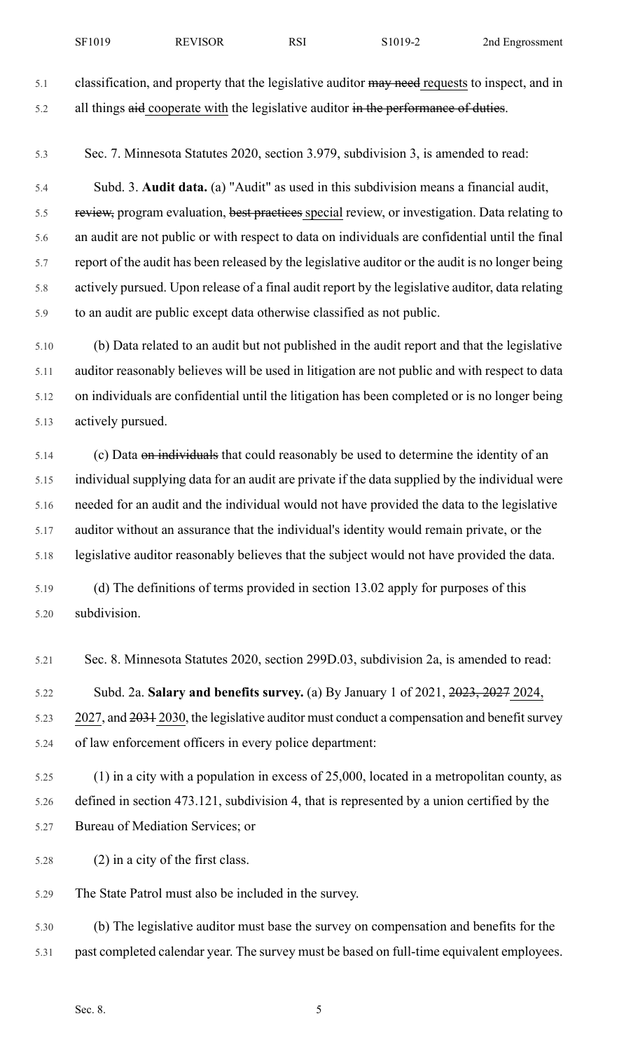5.1 classification, and property that the legislative auditor may need requests to inspect, and in

5.3 Sec. 7. Minnesota Statutes 2020, section 3.979, subdivision 3, is amended to read:

5.2 all things aid cooperate with the legislative auditor in the performance of duties.

5.4 Subd. 3. **Audit data.** (a) "Audit" as used in this subdivision means a financial audit, 5.5 review, program evaluation, best practices special review, or investigation. Data relating to 5.6 an audit are not public or with respect to data on individuals are confidential until the final 5.7 report of the audit has been released by the legislative auditor or the audit is no longer being 5.8 actively pursued. Upon release of a final audit report by the legislative auditor, data relating 5.9 to an audit are public except data otherwise classified as not public.

5.10 (b) Data related to an audit but not published in the audit report and that the legislative 5.11 auditor reasonably believes will be used in litigation are not public and with respect to data 5.12 on individuals are confidential until the litigation has been completed or is no longer being 5.13 actively pursued.

5.14 (c) Data on individuals that could reasonably be used to determine the identity of an 5.15 individual supplying data for an audit are private if the data supplied by the individual were 5.16 needed for an audit and the individual would not have provided the data to the legislative 5.17 auditor without an assurance that the individual's identity would remain private, or the 5.18 legislative auditor reasonably believes that the subject would not have provided the data.

5.19 (d) The definitions of terms provided in section 13.02 apply for purposes of this 5.20 subdivision.

5.21 Sec. 8. Minnesota Statutes 2020, section 299D.03, subdivision 2a, is amended to read:

5.22 Subd. 2a. **Salary and benefits survey.** (a) By January 1 of 2021, 2023, 2027 2024,

5.23 2027, and 2031 2030, the legislative auditor must conduct a compensation and benefit survey 5.24 of law enforcement officers in every police department:

- 5.25 (1) in a city with a population in excess of 25,000, located in a metropolitan county, as 5.26 defined in section 473.121, subdivision 4, that is represented by a union certified by the 5.27 Bureau of Mediation Services; or
- 5.28 (2) in a city of the first class.
- 5.29 The State Patrol must also be included in the survey.

5.30 (b) The legislative auditor must base the survey on compensation and benefits for the 5.31 past completed calendar year. The survey must be based on full-time equivalent employees.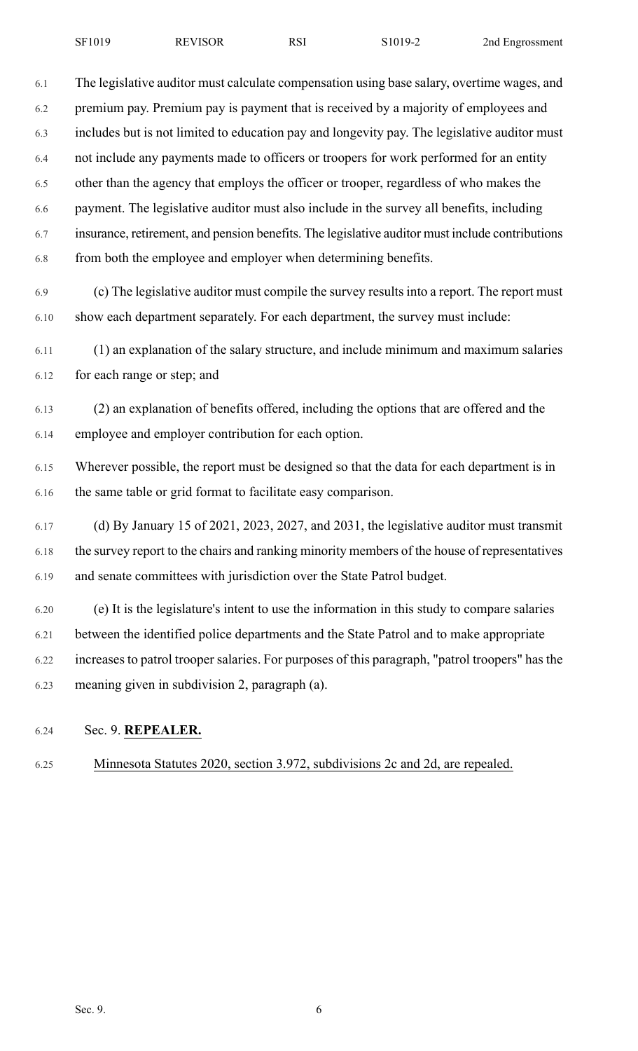6.1 The legislative auditor must calculate compensation using base salary, overtime wages, and 6.2 premium pay. Premium pay is payment that is received by a majority of employees and 6.3 includes but is not limited to education pay and longevity pay. The legislative auditor must 6.4 not include any payments made to officers or troopers for work performed for an entity 6.5 other than the agency that employs the officer or trooper, regardless of who makes the 6.6 payment. The legislative auditor must also include in the survey all benefits, including 6.7 insurance, retirement, and pension benefits. The legislative auditor must include contributions 6.8 from both the employee and employer when determining benefits.

6.9 (c) The legislative auditor must compile the survey results into a report. The report must 6.10 show each department separately. For each department, the survey must include:

6.11 (1) an explanation of the salary structure, and include minimum and maximum salaries 6.12 for each range or step; and

6.13 (2) an explanation of benefits offered, including the options that are offered and the 6.14 employee and employer contribution for each option.

6.15 Wherever possible, the report must be designed so that the data for each department is in 6.16 the same table or grid format to facilitate easy comparison.

6.17 (d) By January 15 of 2021, 2023, 2027, and 2031, the legislative auditor must transmit 6.18 the survey report to the chairs and ranking minority members of the house of representatives 6.19 and senate committees with jurisdiction over the State Patrol budget.

6.20 (e) It is the legislature's intent to use the information in this study to compare salaries 6.21 between the identified police departments and the State Patrol and to make appropriate 6.22 increases to patrol trooper salaries. For purposes of this paragraph, "patrol troopers" has the 6.23 meaning given in subdivision 2, paragraph (a).

### 6.24 Sec. 9. **REPEALER.**

# 6.25 Minnesota Statutes 2020, section 3.972, subdivisions 2c and 2d, are repealed.